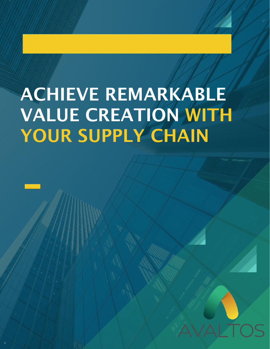# ACHIEVE REMARKABLE VALUE CREATION WITH YOUR SUPPLY CHAIN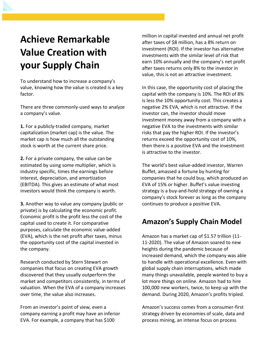## **Achieve Remarkable Value Creation with your Supply Chain**

To understand how to increase a company's value, knowing how the value is created is a key factor.

There are three commonly-used ways to analyze a company's value.

**1.** For a publicly-traded company, market capitalization (market cap) is the value. The market cap is how much all the outstanding stock is worth at the current share price.

**2.** For a private company, the value can be estimated by using some multiplier, which is industry specific, times the earnings before interest, depreciation, and amortization (EBITDA). This gives an estimate of what most investors would think the company is worth.

**3.** Another way to value any company (public or private) is by calculating the economic profit. Economic profit is the profit less the cost of the capital used to create it. For comparative purposes, calculate the economic value-added (EVA), which is the net profit after taxes, minus the opportunity cost of the capital invested in the company.

Research conducted by Stern Stewart on companies that focus on creating EVA growth discovered that they usually outperform the market and competitors consistently, in terms of valuation. When the EVA of a company increases over time, the value also increases.

From an investor's point of view, even a company earning a profit may have an inferior EVA. For example, a company that has \$100

million in capital invested and annual net profit after taxes of \$8 million, has a 8% return on investment (ROI). If the investor has alternative investments with the similar level of risk that earn 10% annually and the company's net profit after taxes returns only 8% to the investor in value, this is not an attractive investment.

In this case, the opportunity cost of placing the capital with the company is 10%. The ROI of 8% is less the 10% opportunity cost. This creates a negative 2% EVA, which is not attractive. If the investor can, the investor should move investment money away from a company with a negative EVA to the investments with similar risks that pay the higher ROI. If the investor's returns exceed the opportunity cost of 10%, then there is a positive EVA and the investment is attractive to the investor.

The world's best value-added investor, Warren Buffet, amassed a fortune by hunting for companies that he could buy, which produced an EVA of 15% or higher. Buffet's value investing strategy is a buy-and-hold strategy of owning a company's stock forever as long as the company continues to produce a positive EVA.

#### **Amazon's Supply Chain Model**

Amazon has a market cap of \$1.57 trillion (11- 11-2020). The value of Amazon soared to new heights during the pandemic because of increased demand, which the company was able to handle with operational excellence. Even with global supply chain interruptions, which made many things unavailable, people wanted to buy a lot more things on online. Amazon had to hire 100,000 new workers, twice, to keep up with the demand. During 2020, Amazon's profits tripled.

Amazon's success comes from a consumer-first strategy driven by economies of scale, data and process mining, an intense focus on process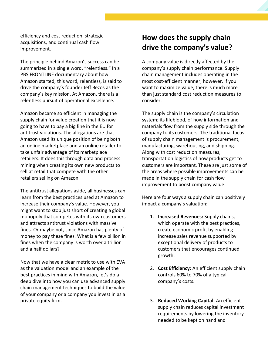efficiency and cost reduction, strategic acquisitions, and continual cash flow improvement.

The principle behind Amazon's success can be summarized in a single word, "relentless." In a PBS FRONTLINE documentary about how Amazon started, this word, relentless, is said to drive the company's founder Jeff Bezos as the company's key mission. At Amazon, there is a relentless pursuit of operational excellence.

Amazon became so efficient in managing the supply chain for value creation that it is now going to have to pay a big fine in the EU for antitrust violations. The allegations are that Amazon used its unique position of being both an online marketplace and an online retailer to take unfair advantage of its marketplace retailers. It does this through data and process mining when creating its own new products to sell at retail that compete with the other retailers selling on Amazon.

The antitrust allegations aside, all businesses can learn from the best practices used at Amazon to increase their company's value. However, you might want to stop just short of creating a global monopoly that competes with its own customers and attracts antitrust violations with massive fines. Or maybe not, since Amazon has plenty of money to pay these fines. What is a few billion in fines when the company is worth over a trillion and a half dollars?

Now that we have a clear metric to use with EVA as the valuation model and an example of the best practices in mind with Amazon, let's do a deep dive into how you can use advanced supply chain management techniques to build the value of your company or a company you invest in as a private equity firm.

#### **How does the supply chain drive the company's value?**

A company value is directly affected by the company's supply chain performance. Supply chain management includes operating in the most cost-efficient manner; however, if you want to maximize value, there is much more than just standard cost reduction measures to consider.

The supply chain is the company's circulation system; its lifeblood, of how information and materials flow from the supply side through the company to its customers. The traditional focus of supply chain management is procurement, manufacturing, warehousing, and shipping. Along with cost reduction measures, transportation logistics of how products get to customers are important. These are just some of the areas where possible improvements can be made in the supply chain for cash flow improvement to boost company value.

Here are four ways a supply chain can positively impact a company's valuation:

- 1. **Increased Revenues:** Supply chains, which operate with the best practices, create economic profit by enabling increase sales revenue supported by exceptional delivery of products to customers that encourages continued growth.
- 2. **Cost Efficiency:** An efficient supply chain controls 60% to 70% of a typical company's costs.
- 3. **Reduced Working Capital:** An efficient supply chain reduces capital investment requirements by lowering the inventory needed to be kept on hand and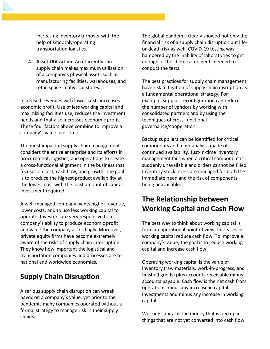increasing inventory turnover with the help of smoothly-operating transportation logistics.

4. **Asset Utilization:** An efficiently run supply chain makes maximum utilization of a company's physical assets such as manufacturing facilities, warehouses, and retail space in physical stores.

Increased revenues with lower costs increases economic profit. Use of less working capital and maximizing facilities use, reduces the investment needs and that also increases economic profit. These four factors above combine to improve a company's value over time.

The most impactful supply chain management considers the entire enterprise and its efforts in procurement, logistics, and operations to create a cross-functional alignment in the business that focuses on cost, cash flow, and growth. The goal is to produce the highest product availability at the lowest cost with the least amount of capital investment required.

A well-managed company wants higher revenue, lower costs, and to use less working capital to operate. Investors are very responsive to a company's ability to produce economic profit and value the company accordingly. Moreover, private equity firms have become extremely aware of the risks of supply chain interruption. They know how important the logistical and transportation companies and processes are to national and worldwide economies.

#### **Supply Chain Disruption**

A serious supply chain disruption can wreak havoc on a company's value, yet prior to the pandemic many companies operated without a formal strategy to manage risk in their supply chains.

The global pandemic clearly showed not only the financial risk of a supply chain disruption but lifeor-death risk as well. COVID-19 testing was hampered by the inability of laboratories to get enough of the chemical reagents needed to conduct the tests.

The best practices for supply chain management have risk mitigation of supply chain disruption as a fundamental operational strategy. For example, supplier reconfiguration can reduce the number of vendors by working with consolidated partners and by using the techniques of cross-functional governance/cooperation.

Backup suppliers can be identified for critical components and a risk analysis made of continued availability. Just-in-time inventory management fails when a critical component is suddenly unavailable and orders cannot be filled. Inventory stock levels are managed for both the immediate need and the risk of components being unavailable.

## **The Relationship between Working Capital and Cash Flow**

The best way to think about working capital is from an operational point of view. Increases in working capital reduce cash flow. To improve a company's value, the goal is to reduce working capital and increase cash flow.

Operating working capital is the value of inventory (raw materials, work-in-progress, and finished goods) plus accounts receivable minus accounts payable. Cash flow is the net cash from operations minus any increase in capital investments and minus any increase in working capital.

Working capital is the money that is tied up in things that are not yet converted into cash flow.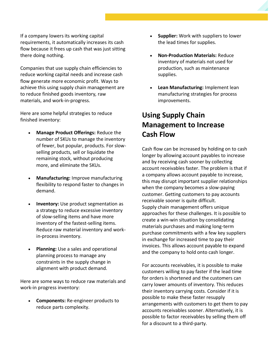If a company lowers its working capital requirements, it automatically increases its cash flow because it frees up cash that was just sitting there doing nothing.

Companies that use supply chain efficiencies to reduce working capital needs and increase cash flow generate more economic profit. Ways to achieve this using supply chain management are to reduce finished goods inventory, raw materials, and work-in-progress.

Here are some helpful strategies to reduce finished inventory:

- **Manage Product Offerings:** Reduce the number of SKUs to manage the inventory of fewer, but popular, products. For slowselling products, sell or liquidate the remaining stock, without producing more, and eliminate the SKUs.
- **Manufacturing:** Improve manufacturing flexibility to respond faster to changes in demand.
- **Inventory:** Use product segmentation as a strategy to reduce excessive inventory of slow-selling items and have more inventory of the fastest-selling items. Reduce raw material inventory and workin-process inventory.
- **Planning:** Use a sales and operational planning process to manage any constraints in the supply change in alignment with product demand.

Here are some ways to reduce raw materials and work-in progress inventory:

• **Components:** Re-engineer products to reduce parts complexity.

- **Supplier:** Work with suppliers to lower the lead times for supplies.
- **Non-Production Materials:** Reduce inventory of materials not used for production, such as maintenance supplies.
- **Lean Manufacturing:** Implement lean manufacturing strategies for process improvements.

## **Using Supply Chain Management to Increase Cash Flow**

Cash flow can be increased by holding on to cash longer by allowing account payables to increase and by receiving cash sooner by collecting account receivables faster. The problem is that if a company allows account payable to increase, this may disrupt important supplier relationships when the company becomes a slow-paying customer. Getting customers to pay accounts receivable sooner is quite difficult. Supply chain management offers unique approaches for these challenges. It is possible to create a win-win situation by consolidating materials purchases and making long-term purchase commitments with a few key suppliers in exchange for increased time to pay their invoices. This allows account payable to expand and the company to hold onto cash longer.

For accounts receivables, it is possible to make customers willing to pay faster if the lead time for orders is shortened and the customers can carry lower amounts of inventory. This reduces their inventory carrying costs. Consider if it is possible to make these faster resupply arrangements with customers to get them to pay accounts receivables sooner. Alternatively, it is possible to factor receivables by selling them off for a discount to a third-party.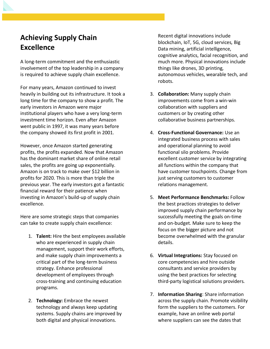## **Achieving Supply Chain Excellence**

A long-term commitment and the enthusiastic involvement of the top leadership in a company is required to achieve supply chain excellence.

For many years, Amazon continued to invest heavily in building out its infrastructure. It took a long time for the company to show a profit. The early investors in Amazon were major institutional players who have a very long-term investment time horizon. Even after Amazon went public in 1997, it was many years before the company showed its first profit in 2001.

However, once Amazon started generating profits, the profits expanded. Now that Amazon has the dominant market share of online retail sales, the profits are going up exponentially. Amazon is on track to make over \$12 billion in profits for 2020. This is more than triple the previous year. The early investors got a fantastic financial reward for their patience when investing in Amazon's build-up of supply chain excellence.

Here are some strategic steps that companies can take to create supply chain excellence:

- 1. **Talent:** Hire the best employees available who are experienced in supply chain management, support their work efforts, and make supply chain improvements a critical part of the long-term business strategy. Enhance professional development of employees through cross-training and continuing education programs.
- 2. **Technology:** Embrace the newest technology and always keep updating systems. Supply chains are improved by both digital and physical innovations.

Recent digital innovations include blockchain, IoT, 5G, cloud services, Big Data mining, artificial intelligence, cognitive analytics, facial recognition, and much more. Physical innovations include things like drones, 3D printing, autonomous vehicles, wearable tech, and robots.

- 3. **Collaboration:** Many supply chain improvements come from a win-win collaboration with suppliers and customers or by creating other collaborative business partnerships.
- 4. **Cross-Functional Governance:** Use an integrated business process with sales and operational planning to avoid functional silo problems. Provide excellent customer service by integrating all functions within the company that have customer touchpoints. Change from just serving customers to customer relations management.
- 5. **Meet Performance Benchmarks:** Follow the best practices strategies to deliver improved supply chain performance by successfully meeting the goals on-time and on-budget. Make sure to keep the focus on the bigger picture and not become overwhelmed with the granular details.
- 6. **Virtual Integrations:** Stay focused on core competencies and hire outside consultants and service providers by using the best practices for selecting third-party logistical solutions providers.
- 7. **Information Sharing**: Share information across the supply chain. Promote visibility form the suppliers to the customers. For example, have an online web portal where suppliers can see the dates that